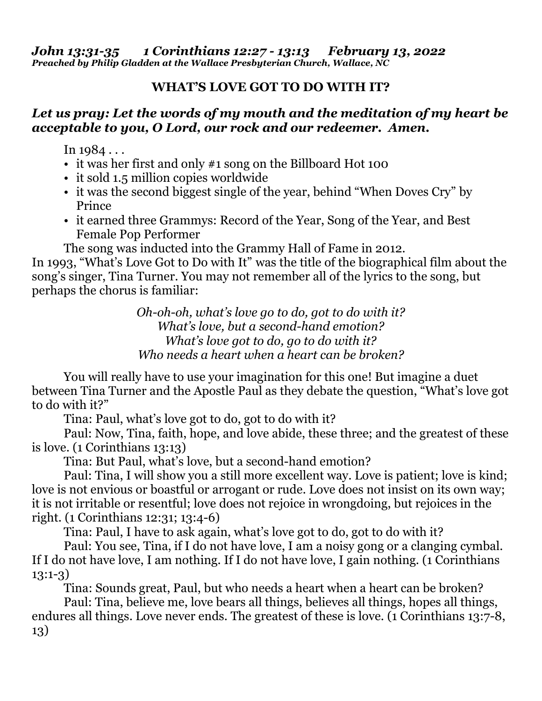*Preached by Philip Gladden at the Wallace Presbyterian Church, Wallace, NC* 

## **WHAT'S LOVE GOT TO DO WITH IT?**

## *Let us pray: Let the words of my mouth and the meditation of my heart be acceptable to you, O Lord, our rock and our redeemer. Amen.*

In  $1984...$ 

- it was her first and only #1 song on the Billboard Hot 100
- it sold 1.5 million copies worldwide
- it was the second biggest single of the year, behind "When Doves Cry" by Prince
- it earned three Grammys: Record of the Year, Song of the Year, and Best Female Pop Performer

The song was inducted into the Grammy Hall of Fame in 2012.

In 1993, "What's Love Got to Do with It" was the title of the biographical film about the song's singer, Tina Turner. You may not remember all of the lyrics to the song, but perhaps the chorus is familiar:

> *Oh-oh-oh, what's love go to do, got to do with it? What's love, but a second-hand emotion? What's love got to do, go to do with it? Who needs a heart when a heart can be broken?*

 You will really have to use your imagination for this one! But imagine a duet between Tina Turner and the Apostle Paul as they debate the question, "What's love got to do with it?"

Tina: Paul, what's love got to do, got to do with it?

 Paul: Now, Tina, faith, hope, and love abide, these three; and the greatest of these is love. (1 Corinthians 13:13)

Tina: But Paul, what's love, but a second-hand emotion?

 Paul: Tina, I will show you a still more excellent way. Love is patient; love is kind; love is not envious or boastful or arrogant or rude. Love does not insist on its own way; it is not irritable or resentful; love does not rejoice in wrongdoing, but rejoices in the right. (1 Corinthians 12:31; 13:4-6)

Tina: Paul, I have to ask again, what's love got to do, got to do with it?

 Paul: You see, Tina, if I do not have love, I am a noisy gong or a clanging cymbal. If I do not have love, I am nothing. If I do not have love, I gain nothing. (1 Corinthians 13:1-3)

Tina: Sounds great, Paul, but who needs a heart when a heart can be broken?

 Paul: Tina, believe me, love bears all things, believes all things, hopes all things, endures all things. Love never ends. The greatest of these is love. (1 Corinthians 13:7-8, 13)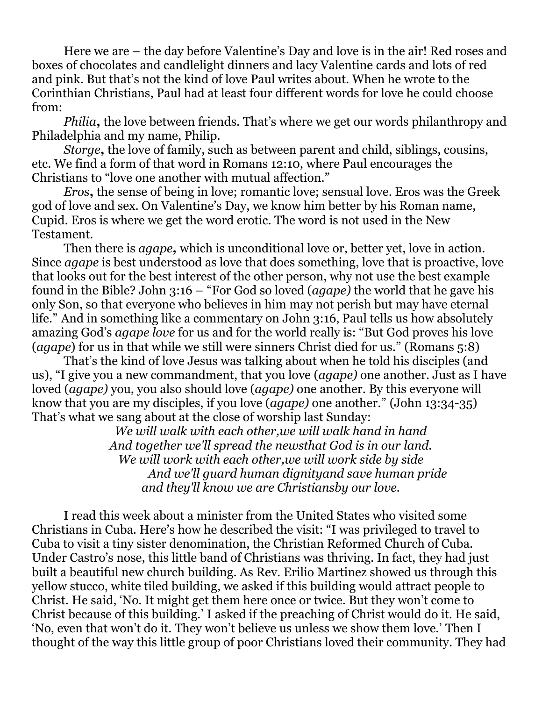Here we are – the day before Valentine's Day and love is in the air! Red roses and boxes of chocolates and candlelight dinners and lacy Valentine cards and lots of red and pink. But that's not the kind of love Paul writes about. When he wrote to the Corinthian Christians, Paul had at least four different words for love he could choose from:

*Philia***,** the love between friends. That's where we get our words philanthropy and Philadelphia and my name, Philip.

*Storge***,** the love of family, such as between parent and child, siblings, cousins, etc. We find a form of that word in Romans 12:10, where Paul encourages the Christians to "love one another with mutual affection."

*Eros***,** the sense of being in love; romantic love; sensual love. Eros was the Greek god of love and sex. On Valentine's Day, we know him better by his Roman name, Cupid. Eros is where we get the word erotic. The word is not used in the New Testament.

Then there is *agape,* which is unconditional love or, better yet, love in action. Since *agape* is best understood as love that does something, love that is proactive, love that looks out for the best interest of the other person, why not use the best example found in the Bible? John 3:16 – "For God so loved (*agape)* the world that he gave his only Son, so that everyone who believes in him may not perish but may have eternal life." And in something like a commentary on John 3:16, Paul tells us how absolutely amazing God's *agape love* for us and for the world really is: "But God proves his love (*agape*) for us in that while we still were sinners Christ died for us." (Romans 5:8)

That's the kind of love Jesus was talking about when he told his disciples (and us), "I give you a new commandment, that you love (*agape)* one another. Just as I have loved (*agape)* you, you also should love (*agape)* one another. By this everyone will know that you are my disciples, if you love (*agape)* one another." (John 13:34-35) That's what we sang about at the close of worship last Sunday:

*We will walk with each other,we will walk hand in hand And together we'll spread the newsthat God is in our land. We will work with each other,we will work side by side And we'll guard human dignityand save human pride and they'll know we are Christiansby our love.* 

 I read this week about a minister from the United States who visited some Christians in Cuba. Here's how he described the visit: "I was privileged to travel to Cuba to visit a tiny sister denomination, the Christian Reformed Church of Cuba. Under Castro's nose, this little band of Christians was thriving. In fact, they had just built a beautiful new church building. As Rev. Erilio Martinez showed us through this yellow stucco, white tiled building, we asked if this building would attract people to Christ. He said, 'No. It might get them here once or twice. But they won't come to Christ because of this building.' I asked if the preaching of Christ would do it. He said, 'No, even that won't do it. They won't believe us unless we show them love.' Then I thought of the way this little group of poor Christians loved their community. They had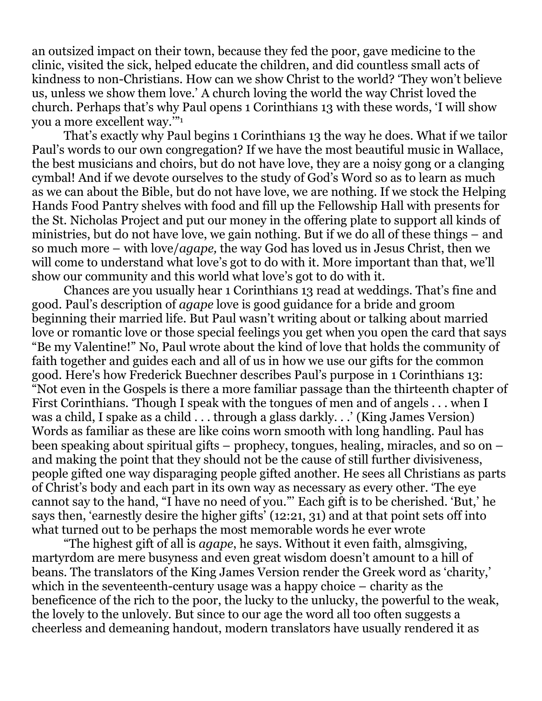an outsized impact on their town, because they fed the poor, gave medicine to the clinic, visited the sick, helped educate the children, and did countless small acts of kindness to non-Christians. How can we show Christ to the world? 'They won't believe us, unless we show them love.' A church loving the world the way Christ loved the church. Perhaps that's why Paul opens 1 Corinthians 13 with these words, 'I will show you a more excellent way.'"<sup>1</sup>

 That's exactly why Paul begins 1 Corinthians 13 the way he does. What if we tailor Paul's words to our own congregation? If we have the most beautiful music in Wallace, the best musicians and choirs, but do not have love, they are a noisy gong or a clanging cymbal! And if we devote ourselves to the study of God's Word so as to learn as much as we can about the Bible, but do not have love, we are nothing. If we stock the Helping Hands Food Pantry shelves with food and fill up the Fellowship Hall with presents for the St. Nicholas Project and put our money in the offering plate to support all kinds of ministries, but do not have love, we gain nothing. But if we do all of these things – and so much more – with love/*agape,* the way God has loved us in Jesus Christ, then we will come to understand what love's got to do with it. More important than that, we'll show our community and this world what love's got to do with it.

 Chances are you usually hear 1 Corinthians 13 read at weddings. That's fine and good. Paul's description of *agape* love is good guidance for a bride and groom beginning their married life. But Paul wasn't writing about or talking about married love or romantic love or those special feelings you get when you open the card that says "Be my Valentine!" No, Paul wrote about the kind of love that holds the community of faith together and guides each and all of us in how we use our gifts for the common good. Here's how Frederick Buechner describes Paul's purpose in 1 Corinthians 13: "Not even in the Gospels is there a more familiar passage than the thirteenth chapter of First Corinthians. 'Though I speak with the tongues of men and of angels . . . when I was a child, I spake as a child . . . through a glass darkly. . .' (King James Version) Words as familiar as these are like coins worn smooth with long handling. Paul has been speaking about spiritual gifts – prophecy, tongues, healing, miracles, and so on – and making the point that they should not be the cause of still further divisiveness, people gifted one way disparaging people gifted another. He sees all Christians as parts of Christ's body and each part in its own way as necessary as every other. 'The eye cannot say to the hand, "I have no need of you."' Each gift is to be cherished. 'But,' he says then, 'earnestly desire the higher gifts' (12:21, 31) and at that point sets off into what turned out to be perhaps the most memorable words he ever wrote

 "The highest gift of all is *agape*, he says. Without it even faith, almsgiving, martyrdom are mere busyness and even great wisdom doesn't amount to a hill of beans. The translators of the King James Version render the Greek word as 'charity,' which in the seventeenth-century usage was a happy choice – charity as the beneficence of the rich to the poor, the lucky to the unlucky, the powerful to the weak, the lovely to the unlovely. But since to our age the word all too often suggests a cheerless and demeaning handout, modern translators have usually rendered it as